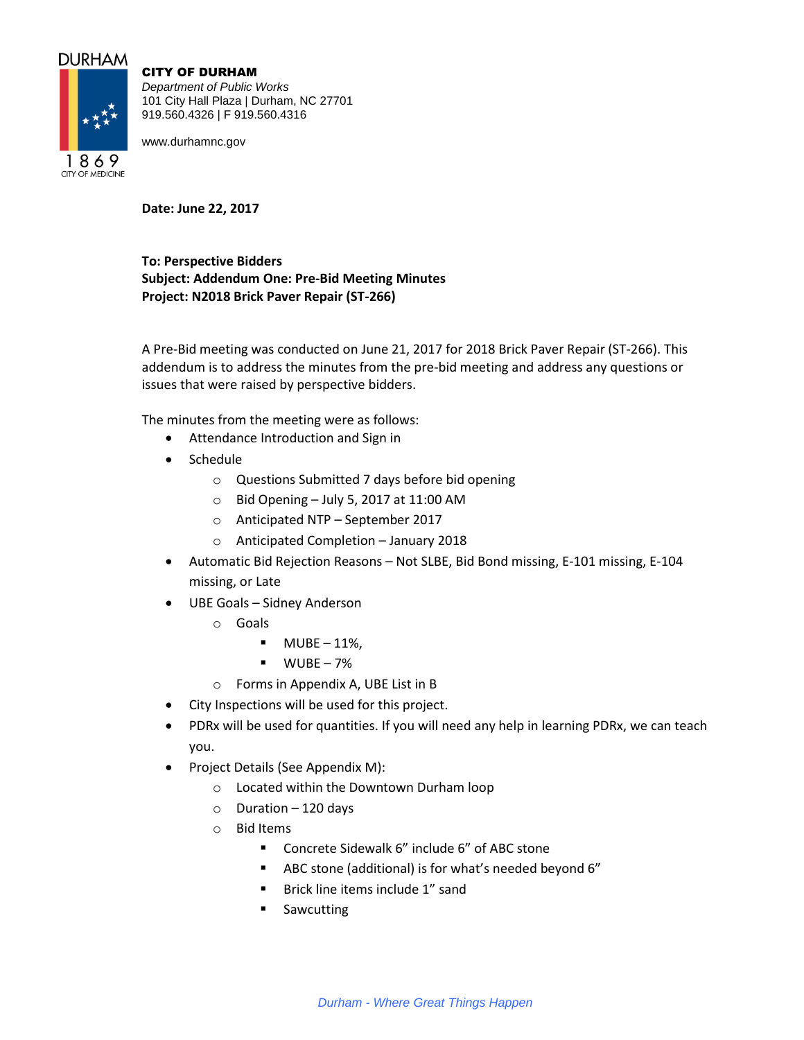## **DURHAM**

**CITY OF MEDICINE** 



CITY OF DURHAM

*Department of Public Works* 101 City Hall Plaza | Durham, NC 27701 919.560.4326 | F 919.560.4316

www.durhamnc.gov

**Date: June 22, 2017**

**To: Perspective Bidders Subject: Addendum One: Pre-Bid Meeting Minutes Project: N2018 Brick Paver Repair (ST-266)**

A Pre-Bid meeting was conducted on June 21, 2017 for 2018 Brick Paver Repair (ST-266). This addendum is to address the minutes from the pre-bid meeting and address any questions or issues that were raised by perspective bidders.

The minutes from the meeting were as follows:

- Attendance Introduction and Sign in
- Schedule
	- o Questions Submitted 7 days before bid opening
	- $\circ$  Bid Opening July 5, 2017 at 11:00 AM
	- o Anticipated NTP September 2017
	- o Anticipated Completion January 2018
- Automatic Bid Rejection Reasons Not SLBE, Bid Bond missing, E-101 missing, E-104 missing, or Late
- UBE Goals Sidney Anderson
	- o Goals
		- $\blacksquare$  MUBE 11%,
		- $WUBE 7%$
	- o Forms in Appendix A, UBE List in B
- City Inspections will be used for this project.
- PDRx will be used for quantities. If you will need any help in learning PDRx, we can teach you.
- Project Details (See Appendix M):
	- o Located within the Downtown Durham loop
	- $\circ$  Duration 120 days
	- o Bid Items
		- Concrete Sidewalk 6" include 6" of ABC stone
		- ABC stone (additional) is for what's needed beyond 6"
		- **Brick line items include 1" sand**
		- **Sawcutting**